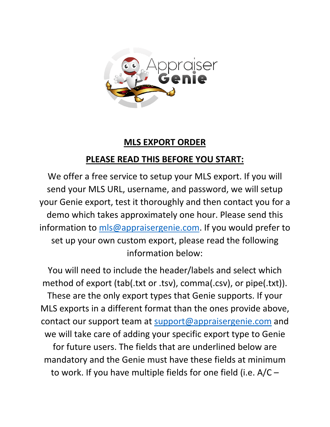

## **MLS EXPORT ORDER**

## **PLEASE READ THIS BEFORE YOU START:**

We offer a free service to setup your MLS export. If you will send your MLS URL, username, and password, we will setup your Genie export, test it thoroughly and then contact you for a demo which takes approximately one hour. Please send this information to [mls@appraisergenie.com.](mailto:mls@appraisergenie.com) If you would prefer to set up your own custom export, please read the following information below:

You will need to include the header/labels and select which method of export (tab(.txt or .tsv), comma(.csv), or pipe(.txt)). These are the only export types that Genie supports. If your MLS exports in a different format than the ones provide above, contact our support team at [support@appraisergenie.com](mailto:support@appraisergenie.com) and we will take care of adding your specific export type to Genie for future users. The fields that are underlined below are mandatory and the Genie must have these fields at minimum to work. If you have multiple fields for one field (i.e. A/C –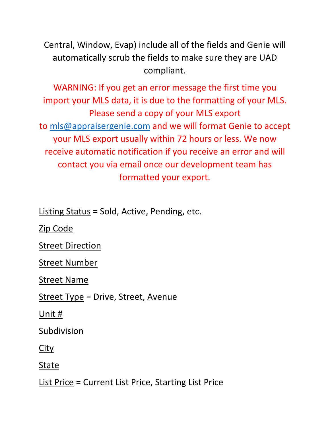Central, Window, Evap) include all of the fields and Genie will automatically scrub the fields to make sure they are UAD compliant.

WARNING: If you get an error message the first time you import your MLS data, it is due to the formatting of your MLS. Please send a copy of your MLS export to [mls@appraisergenie.com](mailto:mls@appraisergenie.com) and we will format Genie to accept your MLS export usually within 72 hours or less. We now receive automatic notification if you receive an error and will contact you via email once our development team has formatted your export.

Listing Status = Sold, Active, Pending, etc.

Zip Code

Street Direction

Street Number

Street Name

Street Type = Drive, Street, Avenue

Unit #

Subdivision

City

State

List Price = Current List Price, Starting List Price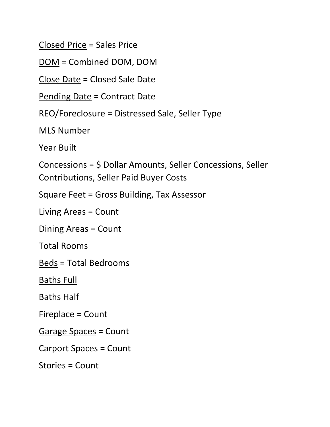Closed Price = Sales Price

DOM = Combined DOM, DOM

Close Date = Closed Sale Date

Pending Date = Contract Date

REO/Foreclosure = Distressed Sale, Seller Type

MLS Number

Year Built

Concessions = \$ Dollar Amounts, Seller Concessions, Seller Contributions, Seller Paid Buyer Costs

Square Feet = Gross Building, Tax Assessor

Living Areas = Count

Dining Areas = Count

Total Rooms

Beds = Total Bedrooms

Baths Full

Baths Half

Fireplace = Count

Garage Spaces = Count

Carport Spaces = Count

Stories = Count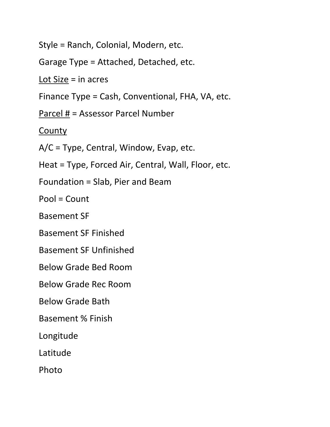Style = Ranch, Colonial, Modern, etc.

Garage Type = Attached, Detached, etc.

Lot  $Size = in \, acres$ 

Finance Type = Cash, Conventional, FHA, VA, etc.

Parcel # = Assessor Parcel Number

**County** 

A/C = Type, Central, Window, Evap, etc.

Heat = Type, Forced Air, Central, Wall, Floor, etc.

Foundation = Slab, Pier and Beam

Pool = Count

Basement SF

Basement SF Finished

Basement SF Unfinished

Below Grade Bed Room

Below Grade Rec Room

Below Grade Bath

Basement % Finish

Longitude

Latitude

Photo